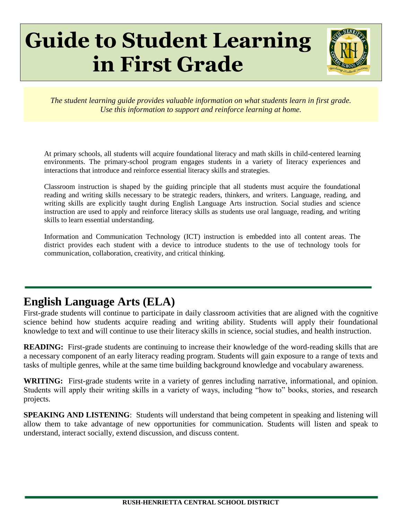# **Guide to Student Learning in First Grade**



*The student learning guide provides valuable information on what students learn in first grade. Use this information to support and reinforce learning at home.*

At primary schools, all students will acquire foundational literacy and math skills in child-centered learning environments. The primary-school program engages students in a variety of literacy experiences and interactions that introduce and reinforce essential literacy skills and strategies.

Classroom instruction is shaped by the guiding principle that all students must acquire the foundational reading and writing skills necessary to be strategic readers, thinkers, and writers. Language, reading, and writing skills are explicitly taught during English Language Arts instruction. Social studies and science instruction are used to apply and reinforce literacy skills as students use oral language, reading, and writing skills to learn essential understanding.

Information and Communication Technology (ICT) instruction is embedded into all content areas. The district provides each student with a device to introduce students to the use of technology tools for communication, collaboration, creativity, and critical thinking.

## **English Language Arts (ELA)**

First-grade students will continue to participate in daily classroom activities that are aligned with the cognitive science behind how students acquire reading and writing ability. Students will apply their foundational knowledge to text and will continue to use their literacy skills in science, social studies, and health instruction.

**READING:** First-grade students are continuing to increase their knowledge of the word-reading skills that are a necessary component of an early literacy reading program. Students will gain exposure to a range of texts and tasks of multiple genres, while at the same time building background knowledge and vocabulary awareness.

**WRITING:** First-grade students write in a variety of genres including narrative, informational, and opinion. Students will apply their writing skills in a variety of ways, including "how to" books, stories, and research projects.

**SPEAKING AND LISTENING:** Students will understand that being competent in speaking and listening will allow them to take advantage of new opportunities for communication. Students will listen and speak to understand, interact socially, extend discussion, and discuss content.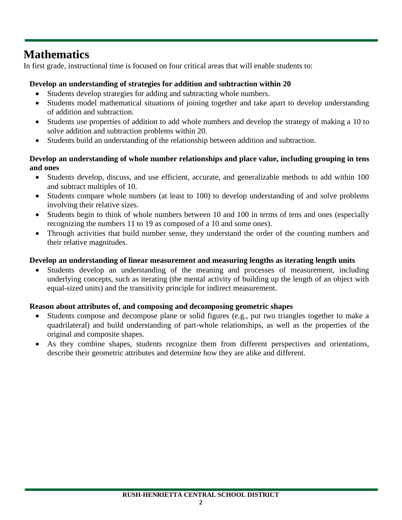## **Mathematics**

In first grade, instructional time is focused on four critical areas that will enable students to:

#### **Develop an understanding of strategies for addition and subtraction within 20**

- Students develop strategies for adding and subtracting whole numbers.
- Students model mathematical situations of joining together and take apart to develop understanding of addition and subtraction.
- Students use properties of addition to add whole numbers and develop the strategy of making a 10 to solve addition and subtraction problems within 20.
- Students build an understanding of the relationship between addition and subtraction.

#### **Develop an understanding of whole number relationships and place value, including grouping in tens and ones**

- Students develop, discuss, and use efficient, accurate, and generalizable methods to add within 100 and subtract multiples of 10.
- Students compare whole numbers (at least to 100) to develop understanding of and solve problems involving their relative sizes.
- Students begin to think of whole numbers between 10 and 100 in terms of tens and ones (especially recognizing the numbers 11 to 19 as composed of a 10 and some ones).
- Through activities that build number sense, they understand the order of the counting numbers and their relative magnitudes.

#### **Develop an understanding of linear measurement and measuring lengths as iterating length units**

Students develop an understanding of the meaning and processes of measurement, including underlying concepts, such as iterating (the mental activity of building up the length of an object with equal-sized units) and the transitivity principle for indirect measurement.

#### **Reason about attributes of, and composing and decomposing geometric shapes**

- Students compose and decompose plane or solid figures (e.g., put two triangles together to make a quadrilateral) and build understanding of part-whole relationships, as well as the properties of the original and composite shapes.
- As they combine shapes, students recognize them from different perspectives and orientations, describe their geometric attributes and determine how they are alike and different.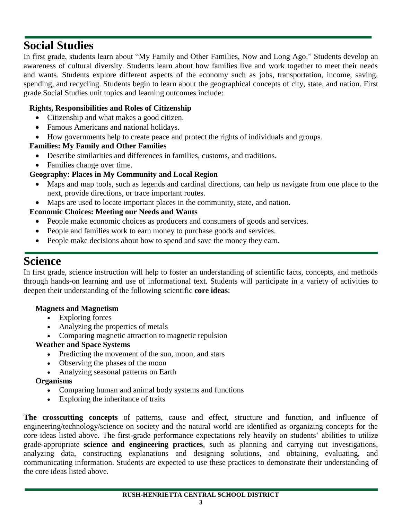## **Social Studies**

In first grade, students learn about "My Family and Other Families, Now and Long Ago." Students develop an awareness of cultural diversity. Students learn about how families live and work together to meet their needs and wants. Students explore different aspects of the economy such as jobs, transportation, income, saving, spending, and recycling. Students begin to learn about the geographical concepts of city, state, and nation. First grade Social Studies unit topics and learning outcomes include:

#### **Rights, Responsibilities and Roles of Citizenship**

- Citizenship and what makes a good citizen.
- Famous Americans and national holidays.
- How governments help to create peace and protect the rights of individuals and groups.

#### **Families: My Family and Other Families**

- Describe similarities and differences in families, customs, and traditions.
- Families change over time.

#### **Geography: Places in My Community and Local Region**

- Maps and map tools, such as legends and cardinal directions, can help us navigate from one place to the next, provide directions, or trace important routes.
- Maps are used to locate important places in the community, state, and nation.

#### **Economic Choices: Meeting our Needs and Wants**

- People make economic choices as producers and consumers of goods and services.
- People and families work to earn money to purchase goods and services.
- People make decisions about how to spend and save the money they earn.

### **Science**

In first grade, science instruction will help to foster an understanding of scientific facts, concepts, and methods through hands-on learning and use of informational text. Students will participate in a variety of activities to deepen their understanding of the following scientific **core ideas**:

#### **Magnets and Magnetism**

- Exploring forces
- Analyzing the properties of metals
- Comparing magnetic attraction to magnetic repulsion

#### **Weather and Space Systems**

- Predicting the movement of the sun, moon, and stars
- Observing the phases of the moon
- Analyzing seasonal patterns on Earth

#### **Organisms**

- Comparing human and animal body systems and functions
- Exploring the inheritance of traits

**The crosscutting concepts** of patterns, cause and effect, structure and function, and influence of engineering/technology/science on society and the natural world are identified as organizing concepts for the core ideas listed above. The first-grade performance expectations rely heavily on students' abilities to utilize grade-appropriate **science and engineering practices**, such as planning and carrying out investigations, analyzing data, constructing explanations and designing solutions, and obtaining, evaluating, and communicating information. Students are expected to use these practices to demonstrate their understanding of the core ideas listed above.